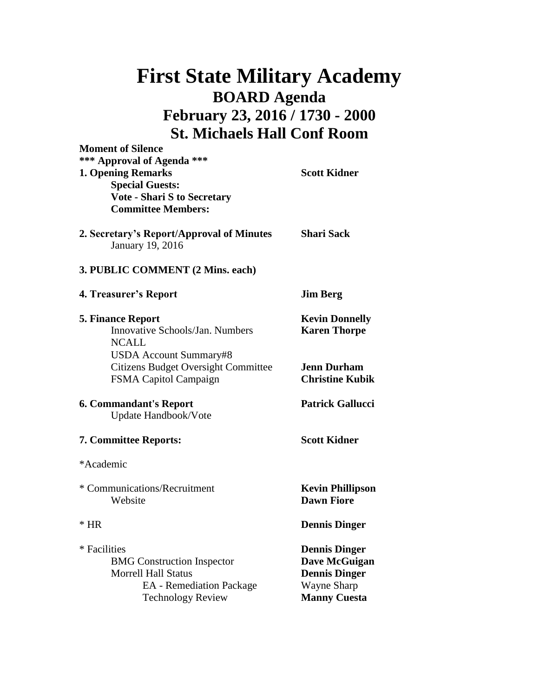## **First State Military Academy BOARD Agenda February 23, 2016 / 1730 - 2000 St. Michaels Hall Conf Room**

| <b>Moment of Silence</b><br>*** Approval of Agenda ***                                                                                         | <b>Scott Kidner</b>                                                                                 |
|------------------------------------------------------------------------------------------------------------------------------------------------|-----------------------------------------------------------------------------------------------------|
| <b>1. Opening Remarks</b><br><b>Special Guests:</b><br><b>Vote - Shari S to Secretary</b><br><b>Committee Members:</b>                         |                                                                                                     |
| 2. Secretary's Report/Approval of Minutes<br>January 19, 2016                                                                                  | <b>Shari Sack</b>                                                                                   |
| 3. PUBLIC COMMENT (2 Mins. each)                                                                                                               |                                                                                                     |
| 4. Treasurer's Report                                                                                                                          | <b>Jim Berg</b>                                                                                     |
| <b>5. Finance Report</b><br>Innovative Schools/Jan. Numbers<br><b>NCALL</b>                                                                    | <b>Kevin Donnelly</b><br><b>Karen Thorpe</b>                                                        |
| USDA Account Summary#8<br><b>Citizens Budget Oversight Committee</b><br>FSMA Capitol Campaign                                                  | <b>Jenn Durham</b><br><b>Christine Kubik</b>                                                        |
| <b>6. Commandant's Report</b><br>Update Handbook/Vote                                                                                          | <b>Patrick Gallucci</b>                                                                             |
| <b>7. Committee Reports:</b>                                                                                                                   | <b>Scott Kidner</b>                                                                                 |
| *Academic                                                                                                                                      |                                                                                                     |
| * Communications/Recruitment<br>Website                                                                                                        | <b>Kevin Phillipson</b><br><b>Dawn Fiore</b>                                                        |
| $*$ HR                                                                                                                                         | <b>Dennis Dinger</b>                                                                                |
| * Facilities<br><b>BMG</b> Construction Inspector<br><b>Morrell Hall Status</b><br><b>EA</b> - Remediation Package<br><b>Technology Review</b> | <b>Dennis Dinger</b><br>Dave McGuigan<br><b>Dennis Dinger</b><br>Wayne Sharp<br><b>Manny Cuesta</b> |